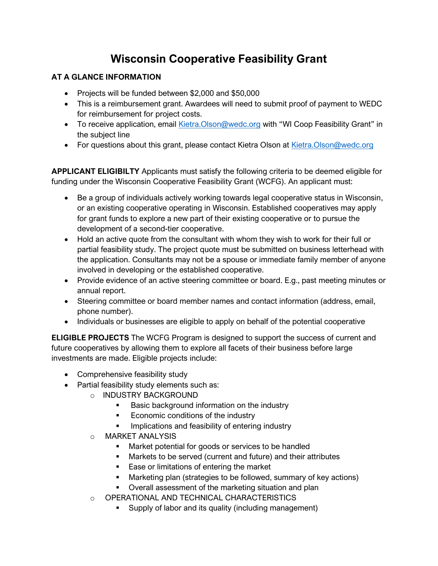## **Wisconsin Cooperative Feasibility Grant**

## **AT A GLANCE INFORMATION**

- Projects will be funded between \$2,000 and \$50,000
- This is a reimbursement grant. Awardees will need to submit proof of payment to WEDC for reimbursement for project costs.
- To receive application, email [Kietra.Olson@wedc.org](mailto:Kietra.Olson@wedc.org) with "WI Coop Feasibility Grant" in the subject line
- For questions about this grant, please contact Kietra Olson at [Kietra.Olson@wedc.org](mailto:Kietra.Olson@wedc.org)

**APPLICANT ELIGIBILTY** Applicants must satisfy the following criteria to be deemed eligible for funding under the Wisconsin Cooperative Feasibility Grant (WCFG). An applicant must:

- Be a group of individuals actively working towards legal cooperative status in Wisconsin, or an existing cooperative operating in Wisconsin. Established cooperatives may apply for grant funds to explore a new part of their existing cooperative or to pursue the development of a second-tier cooperative.
- Hold an active quote from the consultant with whom they wish to work for their full or partial feasibility study. The project quote must be submitted on business letterhead with the application. Consultants may not be a spouse or immediate family member of anyone involved in developing or the established cooperative.
- Provide evidence of an active steering committee or board. E.g., past meeting minutes or annual report.
- Steering committee or board member names and contact information (address, email, phone number).
- Individuals or businesses are eligible to apply on behalf of the potential cooperative

**ELIGIBLE PROJECTS** The WCFG Program is designed to support the success of current and future cooperatives by allowing them to explore all facets of their business before large investments are made. Eligible projects include:

- Comprehensive feasibility study
- Partial feasibility study elements such as:
	- o INDUSTRY BACKGROUND
		- Basic background information on the industry
		- Economic conditions of the industry
		- **•** Implications and feasibility of entering industry
	- o MARKET ANALYSIS
		- Market potential for goods or services to be handled
		- Markets to be served (current and future) and their attributes
		- Ease or limitations of entering the market
		- Marketing plan (strategies to be followed, summary of key actions)
		- Overall assessment of the marketing situation and plan
	- o OPERATIONAL AND TECHNICAL CHARACTERISTICS
		- Supply of labor and its quality (including management)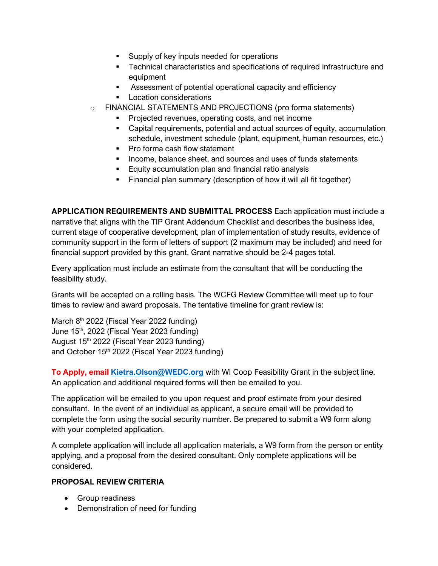- Supply of key inputs needed for operations
- **EXEC** Technical characteristics and specifications of required infrastructure and equipment
- Assessment of potential operational capacity and efficiency
- Location considerations
- o FINANCIAL STATEMENTS AND PROJECTIONS (pro forma statements)
	- Projected revenues, operating costs, and net income
	- Capital requirements, potential and actual sources of equity, accumulation schedule, investment schedule (plant, equipment, human resources, etc.)
	- Pro forma cash flow statement
	- Income, balance sheet, and sources and uses of funds statements
	- Equity accumulation plan and financial ratio analysis
	- **EXECT** Financial plan summary (description of how it will all fit together)

**APPLICATION REQUIREMENTS AND SUBMITTAL PROCESS** Each application must include a narrative that aligns with the TIP Grant Addendum Checklist and describes the business idea, current stage of cooperative development, plan of implementation of study results, evidence of community support in the form of letters of support (2 maximum may be included) and need for financial support provided by this grant. Grant narrative should be 2-4 pages total.

Every application must include an estimate from the consultant that will be conducting the feasibility study.

Grants will be accepted on a rolling basis. The WCFG Review Committee will meet up to four times to review and award proposals. The tentative timeline for grant review is:

March 8<sup>th</sup> 2022 (Fiscal Year 2022 funding) June 15<sup>th</sup>, 2022 (Fiscal Year 2023 funding) August 15<sup>th</sup> 2022 (Fiscal Year 2023 funding) and October 15<sup>th</sup> 2022 (Fiscal Year 2023 funding)

**To Apply, email [Kietra.Olson@WEDC.org](mailto:Kietra.Olson@WEDC.org)** with WI Coop Feasibility Grant in the subject line. An application and additional required forms will then be emailed to you.

The application will be emailed to you upon request and proof estimate from your desired consultant. In the event of an individual as applicant, a secure email will be provided to complete the form using the social security number. Be prepared to submit a W9 form along with your completed application.

A complete application will include all application materials, a W9 form from the person or entity applying, and a proposal from the desired consultant. Only complete applications will be considered.

## **PROPOSAL REVIEW CRITERIA**

- Group readiness
- Demonstration of need for funding